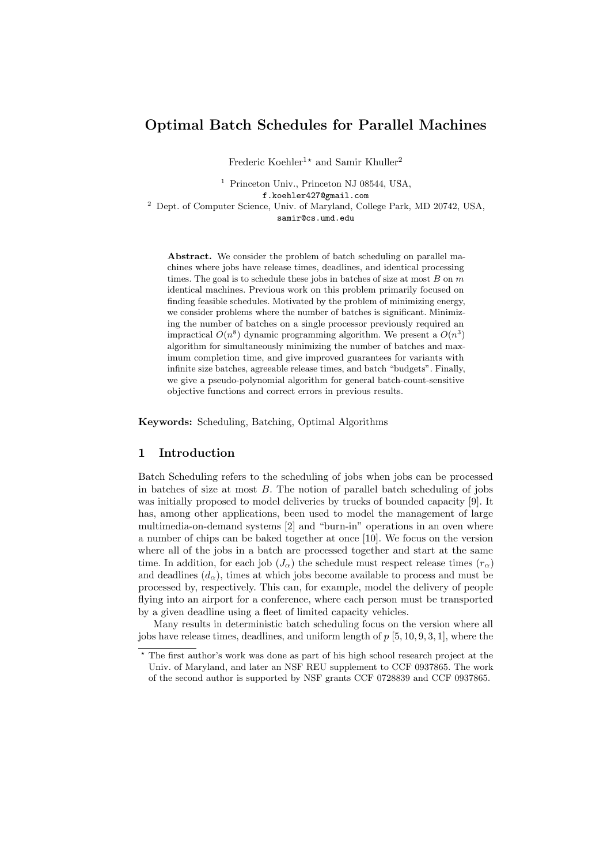# Optimal Batch Schedules for Parallel Machines

Frederic Koehler<sup>1\*</sup> and Samir Khuller<sup>2</sup>

<sup>1</sup> Princeton Univ., Princeton NJ 08544, USA,

f.koehler427@gmail.com

<sup>2</sup> Dept. of Computer Science, Univ. of Maryland, College Park, MD 20742, USA, samir@cs.umd.edu

Abstract. We consider the problem of batch scheduling on parallel machines where jobs have release times, deadlines, and identical processing times. The goal is to schedule these jobs in batches of size at most  $B$  on  $m$ identical machines. Previous work on this problem primarily focused on finding feasible schedules. Motivated by the problem of minimizing energy, we consider problems where the number of batches is significant. Minimizing the number of batches on a single processor previously required an impractical  $O(n^8)$  dynamic programming algorithm. We present a  $O(n^3)$ algorithm for simultaneously minimizing the number of batches and maximum completion time, and give improved guarantees for variants with infinite size batches, agreeable release times, and batch "budgets". Finally, we give a pseudo-polynomial algorithm for general batch-count-sensitive objective functions and correct errors in previous results.

Keywords: Scheduling, Batching, Optimal Algorithms

### 1 Introduction

Batch Scheduling refers to the scheduling of jobs when jobs can be processed in batches of size at most  $B$ . The notion of parallel batch scheduling of jobs was initially proposed to model deliveries by trucks of bounded capacity [9]. It has, among other applications, been used to model the management of large multimedia-on-demand systems [2] and "burn-in" operations in an oven where a number of chips can be baked together at once [10]. We focus on the version where all of the jobs in a batch are processed together and start at the same time. In addition, for each job  $(J_{\alpha})$  the schedule must respect release times  $(r_{\alpha})$ and deadlines  $(d_{\alpha})$ , times at which jobs become available to process and must be processed by, respectively. This can, for example, model the delivery of people flying into an airport for a conference, where each person must be transported by a given deadline using a fleet of limited capacity vehicles.

Many results in deterministic batch scheduling focus on the version where all jobs have release times, deadlines, and uniform length of  $p\left[5, 10, 9, 3, 1\right]$ , where the

<sup>?</sup> The first author's work was done as part of his high school research project at the Univ. of Maryland, and later an NSF REU supplement to CCF 0937865. The work of the second author is supported by NSF grants CCF 0728839 and CCF 0937865.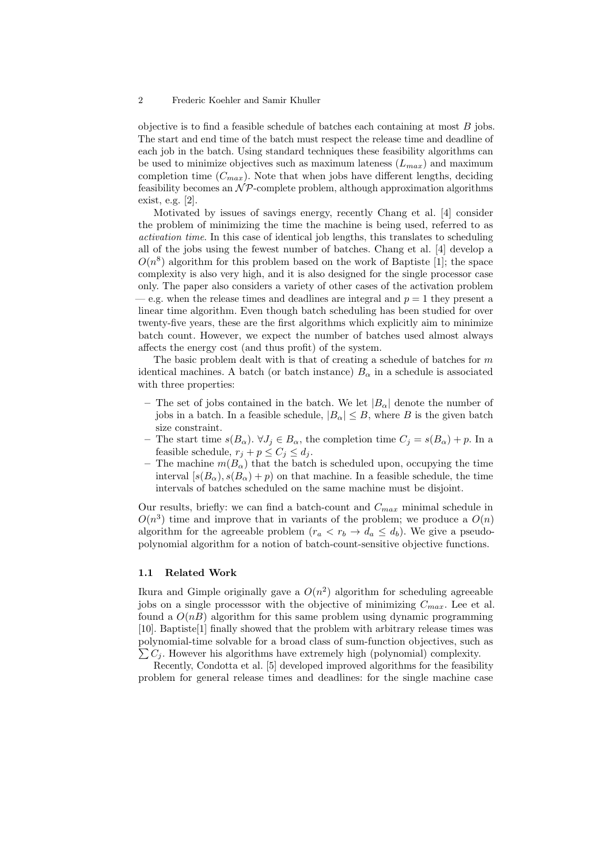objective is to find a feasible schedule of batches each containing at most  $B$  jobs. The start and end time of the batch must respect the release time and deadline of each job in the batch. Using standard techniques these feasibility algorithms can be used to minimize objectives such as maximum lateness  $(L_{max})$  and maximum completion time  $(C_{max})$ . Note that when jobs have different lengths, deciding feasibility becomes an  $N\mathcal{P}$ -complete problem, although approximation algorithms exist, e.g. [2].

Motivated by issues of savings energy, recently Chang et al. [4] consider the problem of minimizing the time the machine is being used, referred to as activation time. In this case of identical job lengths, this translates to scheduling all of the jobs using the fewest number of batches. Chang et al. [4] develop a  $O(n^8)$  algorithm for this problem based on the work of Baptiste [1]; the space complexity is also very high, and it is also designed for the single processor case only. The paper also considers a variety of other cases of the activation problem e.g. when the release times and deadlines are integral and  $p = 1$  they present a linear time algorithm. Even though batch scheduling has been studied for over twenty-five years, these are the first algorithms which explicitly aim to minimize batch count. However, we expect the number of batches used almost always affects the energy cost (and thus profit) of the system.

The basic problem dealt with is that of creating a schedule of batches for  $m$ identical machines. A batch (or batch instance)  $B_{\alpha}$  in a schedule is associated with three properties:

- The set of jobs contained in the batch. We let  $|B_{\alpha}|$  denote the number of jobs in a batch. In a feasible schedule,  $|B_{\alpha}| \leq B$ , where B is the given batch size constraint.
- The start time  $s(B_\alpha)$ .  $\forall J_j \in B_\alpha$ , the completion time  $C_j = s(B_\alpha) + p$ . In a feasible schedule,  $r_j + p \leq C_j \leq d_j$ .
- The machine  $m(B_{\alpha})$  that the batch is scheduled upon, occupying the time interval  $[s(B_{\alpha}), s(B_{\alpha}) + p)$  on that machine. In a feasible schedule, the time intervals of batches scheduled on the same machine must be disjoint.

Our results, briefly: we can find a batch-count and  $C_{max}$  minimal schedule in  $O(n^3)$  time and improve that in variants of the problem; we produce a  $O(n)$ algorithm for the agreeable problem  $(r_a < r_b \rightarrow d_a \leq d_b)$ . We give a pseudopolynomial algorithm for a notion of batch-count-sensitive objective functions.

#### 1.1 Related Work

Ikura and Gimple originally gave a  $O(n^2)$  algorithm for scheduling agreeable jobs on a single processsor with the objective of minimizing  $C_{max}$ . Lee et al. found a  $O(nB)$  algorithm for this same problem using dynamic programming [10]. Baptiste[1] finally showed that the problem with arbitrary release times was polynomial-time solvable for a broad class of sum-function objectives, such as  $\sum C_i$ . However his algorithms have extremely high (polynomial) complexity.

Recently, Condotta et al. [5] developed improved algorithms for the feasibility problem for general release times and deadlines: for the single machine case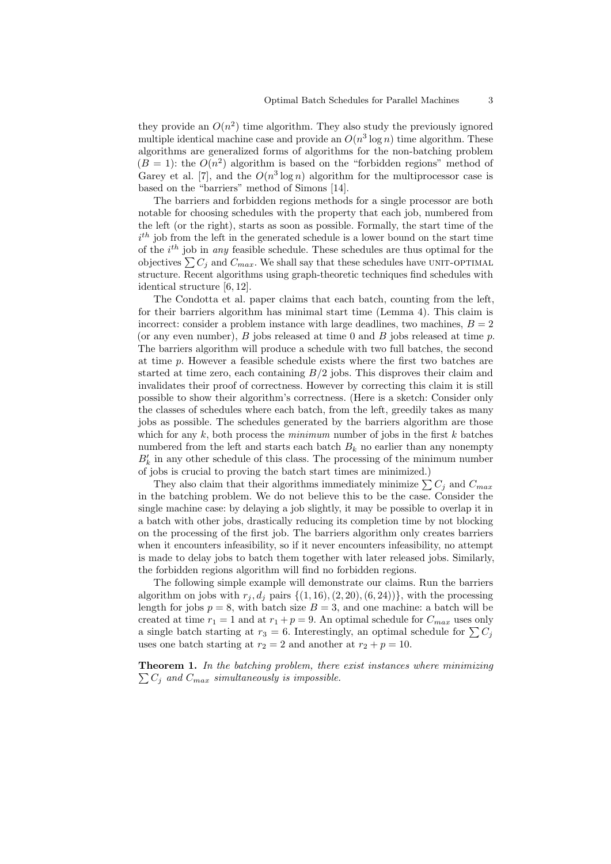they provide an  $O(n^2)$  time algorithm. They also study the previously ignored multiple identical machine case and provide an  $O(n^3 \log n)$  time algorithm. These algorithms are generalized forms of algorithms for the non-batching problem  $(B = 1)$ : the  $O(n^2)$  algorithm is based on the "forbidden regions" method of Garey et al. [7], and the  $O(n^3 \log n)$  algorithm for the multiprocessor case is based on the "barriers" method of Simons [14].

The barriers and forbidden regions methods for a single processor are both notable for choosing schedules with the property that each job, numbered from the left (or the right), starts as soon as possible. Formally, the start time of the  $i<sup>th</sup>$  job from the left in the generated schedule is a lower bound on the start time of the  $i^{th}$  job in any feasible schedule. These schedules are thus optimal for the objectives  $\sum C_j$  and  $C_{max}$ . We shall say that these schedules have UNIT-OPTIMAL structure. Recent algorithms using graph-theoretic techniques find schedules with identical structure [6, 12].

The Condotta et al. paper claims that each batch, counting from the left, for their barriers algorithm has minimal start time (Lemma 4). This claim is incorrect: consider a problem instance with large deadlines, two machines,  $B = 2$ (or any even number),  $B$  jobs released at time 0 and  $B$  jobs released at time  $p$ . The barriers algorithm will produce a schedule with two full batches, the second at time  $p$ . However a feasible schedule exists where the first two batches are started at time zero, each containing  $B/2$  jobs. This disproves their claim and invalidates their proof of correctness. However by correcting this claim it is still possible to show their algorithm's correctness. (Here is a sketch: Consider only the classes of schedules where each batch, from the left, greedily takes as many jobs as possible. The schedules generated by the barriers algorithm are those which for any  $k$ , both process the *minimum* number of jobs in the first  $k$  batches numbered from the left and starts each batch  $B_k$  no earlier than any nonempty  $B_k^\prime$  in any other schedule of this class. The processing of the minimum number of jobs is crucial to proving the batch start times are minimized.)

They also claim that their algorithms immediately minimize  $\sum C_j$  and  $C_{max}$ in the batching problem. We do not believe this to be the case. Consider the single machine case: by delaying a job slightly, it may be possible to overlap it in a batch with other jobs, drastically reducing its completion time by not blocking on the processing of the first job. The barriers algorithm only creates barriers when it encounters infeasibility, so if it never encounters infeasibility, no attempt is made to delay jobs to batch them together with later released jobs. Similarly, the forbidden regions algorithm will find no forbidden regions.

The following simple example will demonstrate our claims. Run the barriers algorithm on jobs with  $r_i, d_i$  pairs  $\{(1, 16), (2, 20), (6, 24)\}\$ , with the processing length for jobs  $p = 8$ , with batch size  $B = 3$ , and one machine: a batch will be created at time  $r_1 = 1$  and at  $r_1 + p = 9$ . An optimal schedule for  $C_{max}$  uses only a single batch starting at  $r_3 = 6$ . Interestingly, an optimal schedule for  $\sum C_j$ uses one batch starting at  $r_2 = 2$  and another at  $r_2 + p = 10$ .

 $\sum C_j$  and  $C_{max}$  simultaneously is impossible. Theorem 1. In the batching problem, there exist instances where minimizing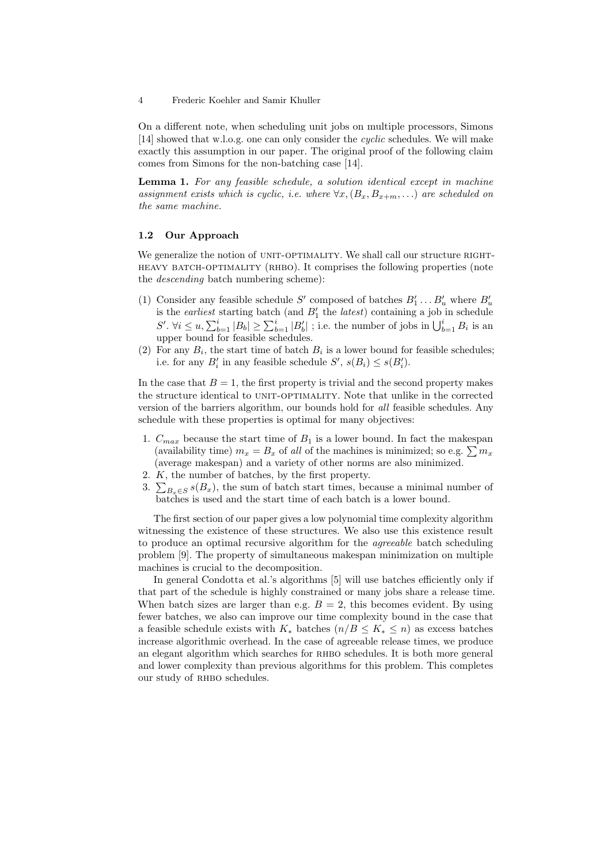On a different note, when scheduling unit jobs on multiple processors, Simons [14] showed that w.l.o.g. one can only consider the cyclic schedules. We will make exactly this assumption in our paper. The original proof of the following claim comes from Simons for the non-batching case [14].

Lemma 1. For any feasible schedule, a solution identical except in machine assignment exists which is cyclic, i.e. where  $\forall x, (B_x, B_{x+m}, ...)$  are scheduled on the same machine.

### 1.2 Our Approach

We generalize the notion of UNIT-OPTIMALITY. We shall call our structure RIGHTheavy batch-optimality (rhbo). It comprises the following properties (note the descending batch numbering scheme):

- (1) Consider any feasible schedule S' composed of batches  $B'_1 \dots B'_u$  where  $B'_u$ is the *earliest* starting batch (and  $B_1'$  the *latest*) containing a job in schedule  $S'. \ \forall i \leq u, \sum_{b=1}^i |B_b| \geq \sum_{b=1}^i |B'_b|$ ; i.e. the number of jobs in  $\bigcup_{b=1}^i B_i$  is an upper bound for feasible schedules.
- (2) For any  $B_i$ , the start time of batch  $B_i$  is a lower bound for feasible schedules; i.e. for any  $B'_i$  in any feasible schedule  $S'$ ,  $s(B_i) \leq s(B'_i)$ .

In the case that  $B = 1$ , the first property is trivial and the second property makes the structure identical to UNIT-OPTIMALITY. Note that unlike in the corrected version of the barriers algorithm, our bounds hold for all feasible schedules. Any schedule with these properties is optimal for many objectives:

- 1.  $C_{max}$  because the start time of  $B_1$  is a lower bound. In fact the makespan (availability time)  $m_x = B_x$  of all of the machines is minimized; so e.g.  $\sum m_x$ (average makespan) and a variety of other norms are also minimized.
- 2. K, the number of batches, by the first property.
- 3.  $\sum_{B_x \in S} s(B_x)$ , the sum of batch start times, because a minimal number of batches is used and the start time of each batch is a lower bound.

The first section of our paper gives a low polynomial time complexity algorithm witnessing the existence of these structures. We also use this existence result to produce an optimal recursive algorithm for the agreeable batch scheduling problem [9]. The property of simultaneous makespan minimization on multiple machines is crucial to the decomposition.

In general Condotta et al.'s algorithms [5] will use batches efficiently only if that part of the schedule is highly constrained or many jobs share a release time. When batch sizes are larger than e.g.  $B = 2$ , this becomes evident. By using fewer batches, we also can improve our time complexity bound in the case that a feasible schedule exists with  $K_*$  batches  $(n/B \leq K_* \leq n)$  as excess batches increase algorithmic overhead. In the case of agreeable release times, we produce an elegant algorithm which searches for RHBO schedules. It is both more general and lower complexity than previous algorithms for this problem. This completes our study of RHBO schedules.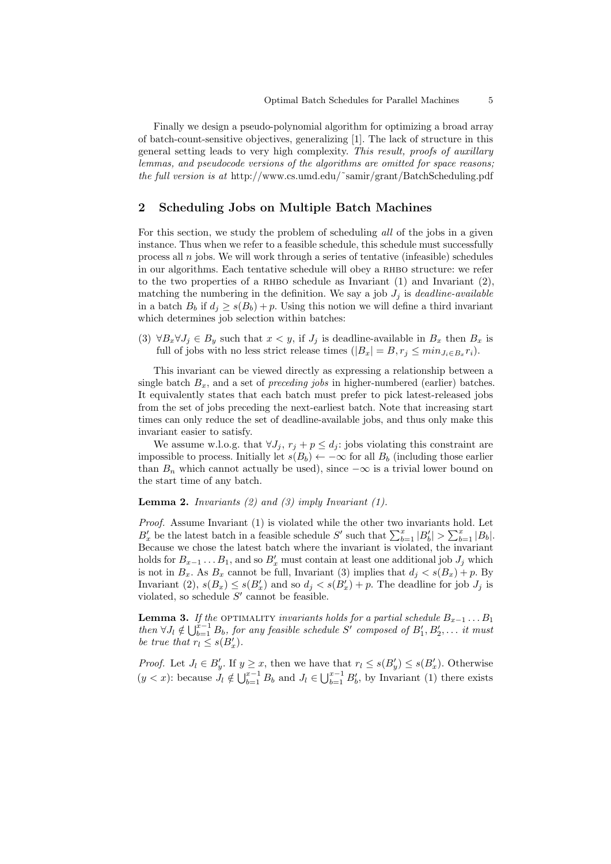Finally we design a pseudo-polynomial algorithm for optimizing a broad array of batch-count-sensitive objectives, generalizing [1]. The lack of structure in this general setting leads to very high complexity. This result, proofs of auxillary lemmas, and pseudocode versions of the algorithms are omitted for space reasons; the full version is at http://www.cs.umd.edu/˜samir/grant/BatchScheduling.pdf

## 2 Scheduling Jobs on Multiple Batch Machines

For this section, we study the problem of scheduling all of the jobs in a given instance. Thus when we refer to a feasible schedule, this schedule must successfully process all  $n$  jobs. We will work through a series of tentative (infeasible) schedules in our algorithms. Each tentative schedule will obey a RHBO structure: we refer to the two properties of a RHBO schedule as Invariant  $(1)$  and Invariant  $(2)$ , matching the numbering in the definition. We say a job  $J_i$  is *deadline-available* in a batch  $B_b$  if  $d_j \geq s(B_b) + p$ . Using this notion we will define a third invariant which determines job selection within batches:

(3)  $\forall B_x \forall J_j \in B_y$  such that  $x < y$ , if  $J_j$  is deadline-available in  $B_x$  then  $B_x$  is full of jobs with no less strict release times  $(|B_x| = B, r_j \leq min_{J_i \in B_x} r_i)$ .

This invariant can be viewed directly as expressing a relationship between a single batch  $B_x$ , and a set of *preceding jobs* in higher-numbered (earlier) batches. It equivalently states that each batch must prefer to pick latest-released jobs from the set of jobs preceding the next-earliest batch. Note that increasing start times can only reduce the set of deadline-available jobs, and thus only make this invariant easier to satisfy.

We assume w.l.o.g. that  $\forall J_i$ ,  $r_i + p \leq d_i$ : jobs violating this constraint are impossible to process. Initially let  $s(B_b) \leftarrow -\infty$  for all  $B_b$  (including those earlier than  $B_n$  which cannot actually be used), since  $-\infty$  is a trivial lower bound on the start time of any batch.

**Lemma 2.** Invariants (2) and (3) imply Invariant (1).

Proof. Assume Invariant (1) is violated while the other two invariants hold. Let  $B'_x$  be the latest batch in a feasible schedule S' such that  $\sum_{b=1}^x |B'_b| > \sum_{b=1}^x |B_b|$ . Because we chose the latest batch where the invariant is violated, the invariant holds for  $B_{x-1} \dots B_1$ , and so  $B'_x$  must contain at least one additional job  $J_j$  which is not in  $B_x$ . As  $B_x$  cannot be full, Invariant (3) implies that  $d_j < s(B_x) + p$ . By Invariant (2),  $s(B_x) \leq s(B'_x)$  and so  $d_j < s(B'_x) + p$ . The deadline for job  $J_j$  is violated, so schedule  $S'$  cannot be feasible.

**Lemma 3.** If the OPTIMALITY invariants holds for a partial schedule  $B_{x-1} \ldots B_1$ then  $\forall J_l \notin \bigcup_{b=1}^{x-1} B_b$ , for any feasible schedule S' composed of  $B'_1, B'_2, \ldots$  it must be true that  $r_l \leq s(B'_x)$ .

*Proof.* Let  $J_l \in B'_y$ . If  $y \ge x$ , then we have that  $r_l \le s(B'_y) \le s(B'_x)$ . Otherwise  $(y < x)$ : because  $J_l \notin \bigcup_{b=1}^{x-1} B_b$  and  $J_l \in \bigcup_{b=1}^{x-1} B'_b$ , by Invariant (1) there exists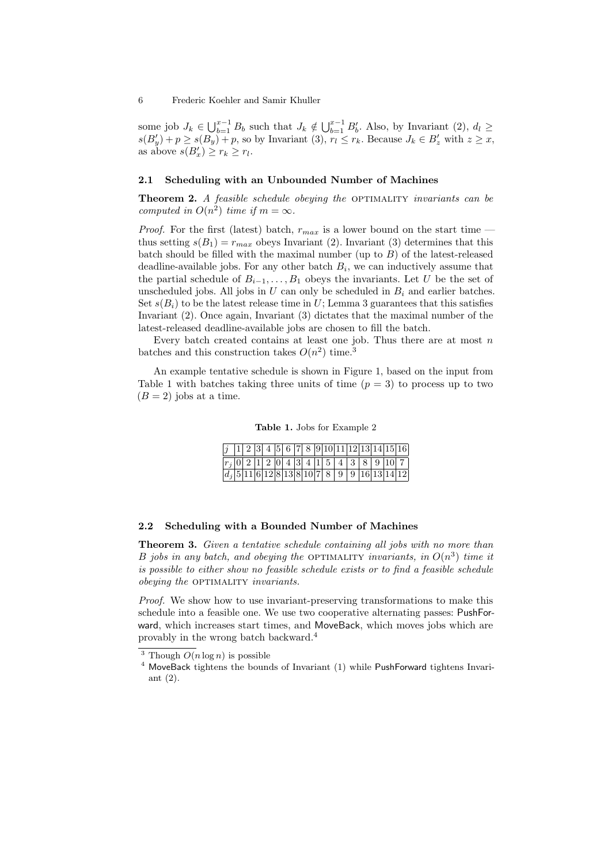some job  $J_k \in \bigcup_{b=1}^{x-1} B_b$  such that  $J_k \notin \bigcup_{b=1}^{x-1} B'_b$ . Also, by Invariant  $(2), d_l \geq$  $s(B'_y) + p \geq s(B_y) + p$ , so by Invariant (3),  $r_l \leq r_k$ . Because  $J_k \in B'_z$  with  $z \geq x$ , as above  $s(B_x') \geq r_k \geq r_l$ .

# 2.1 Scheduling with an Unbounded Number of Machines

**Theorem 2.** A feasible schedule obeying the OPTIMALITY invariants can be computed in  $O(n^2)$  time if  $m = \infty$ .

*Proof.* For the first (latest) batch,  $r_{max}$  is a lower bound on the start time thus setting  $s(B_1) = r_{max}$  obeys Invariant (2). Invariant (3) determines that this batch should be filled with the maximal number (up to  $B$ ) of the latest-released deadline-available jobs. For any other batch  $B_i$ , we can inductively assume that the partial schedule of  $B_{i-1}, \ldots, B_1$  obeys the invariants. Let U be the set of unscheduled jobs. All jobs in  $U$  can only be scheduled in  $B_i$  and earlier batches. Set  $s(B_i)$  to be the latest release time in U; Lemma 3 guarantees that this satisfies Invariant (2). Once again, Invariant (3) dictates that the maximal number of the latest-released deadline-available jobs are chosen to fill the batch.

Every batch created contains at least one job. Thus there are at most  $n$ batches and this construction takes  $O(n^2)$  time.<sup>3</sup>

An example tentative schedule is shown in Figure 1, based on the input from Table 1 with batches taking three units of time  $(p = 3)$  to process up to two  $(B = 2)$  jobs at a time.

Table 1. Jobs for Example 2

|  |  |  |  |  |  |  |  | $j$  1  2  3  4  5  6  7  8  9 10 11 12 13 14 15 16    |
|--|--|--|--|--|--|--|--|--------------------------------------------------------|
|  |  |  |  |  |  |  |  | $ r_j 0 2 1 2 0 4 3 4 1 5 4 3 8 9 10 7 $               |
|  |  |  |  |  |  |  |  | $\boxed{d_j[5 11 6 12 8 13 8 10 7 8 9 9 16 13 14 12]}$ |

#### 2.2 Scheduling with a Bounded Number of Machines

Theorem 3. Given a tentative schedule containing all jobs with no more than B jobs in any batch, and obeying the OPTIMALITY invariants, in  $O(n^3)$  time it is possible to either show no feasible schedule exists or to find a feasible schedule obeying the OPTIMALITY invariants.

Proof. We show how to use invariant-preserving transformations to make this schedule into a feasible one. We use two cooperative alternating passes: PushForward, which increases start times, and MoveBack, which moves jobs which are provably in the wrong batch backward.<sup>4</sup>

<sup>&</sup>lt;sup>3</sup> Though  $O(n \log n)$  is possible

<sup>&</sup>lt;sup>4</sup> MoveBack tightens the bounds of Invariant (1) while PushForward tightens Invariant (2).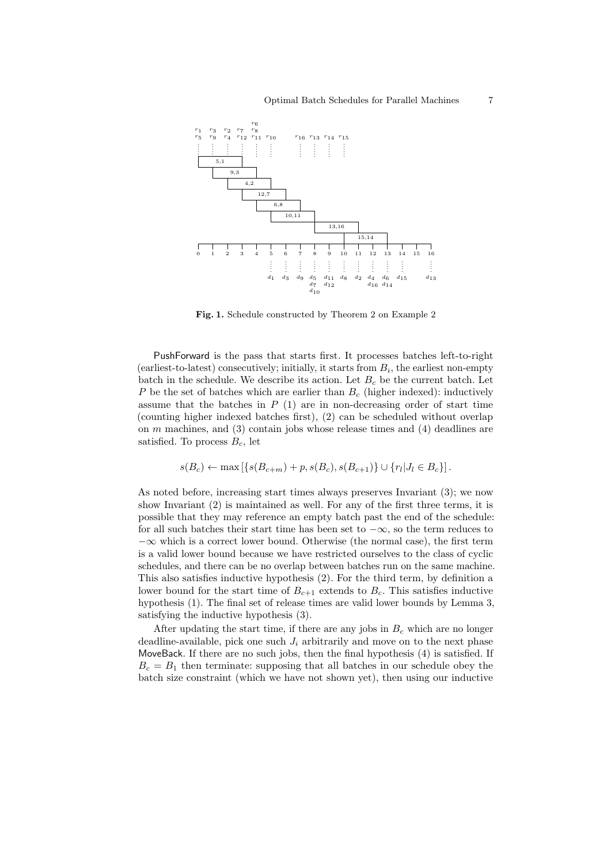

Fig. 1. Schedule constructed by Theorem 2 on Example 2

PushForward is the pass that starts first. It processes batches left-to-right (earliest-to-latest) consecutively; initially, it starts from  $B_i$ , the earliest non-empty batch in the schedule. We describe its action. Let  $B<sub>c</sub>$  be the current batch. Let P be the set of batches which are earlier than  $B_c$  (higher indexed): inductively assume that the batches in  $P(1)$  are in non-decreasing order of start time (counting higher indexed batches first), (2) can be scheduled without overlap on  $m$  machines, and  $(3)$  contain jobs whose release times and  $(4)$  deadlines are satisfied. To process  $B_c$ , let

$$
s(B_c) \leftarrow \max\left[ \{ s(B_{c+m}) + p, s(B_c), s(B_{c+1}) \} \cup \{ r_l | J_l \in B_c \} \right].
$$

As noted before, increasing start times always preserves Invariant (3); we now show Invariant (2) is maintained as well. For any of the first three terms, it is possible that they may reference an empty batch past the end of the schedule: for all such batches their start time has been set to  $-\infty$ , so the term reduces to  $-\infty$  which is a correct lower bound. Otherwise (the normal case), the first term is a valid lower bound because we have restricted ourselves to the class of cyclic schedules, and there can be no overlap between batches run on the same machine. This also satisfies inductive hypothesis (2). For the third term, by definition a lower bound for the start time of  $B_{c+1}$  extends to  $B_c$ . This satisfies inductive hypothesis (1). The final set of release times are valid lower bounds by Lemma 3, satisfying the inductive hypothesis (3).

After updating the start time, if there are any jobs in  $B<sub>c</sub>$  which are no longer deadline-available, pick one such  $J_i$  arbitrarily and move on to the next phase MoveBack. If there are no such jobs, then the final hypothesis (4) is satisfied. If  $B_c = B_1$  then terminate: supposing that all batches in our schedule obey the batch size constraint (which we have not shown yet), then using our inductive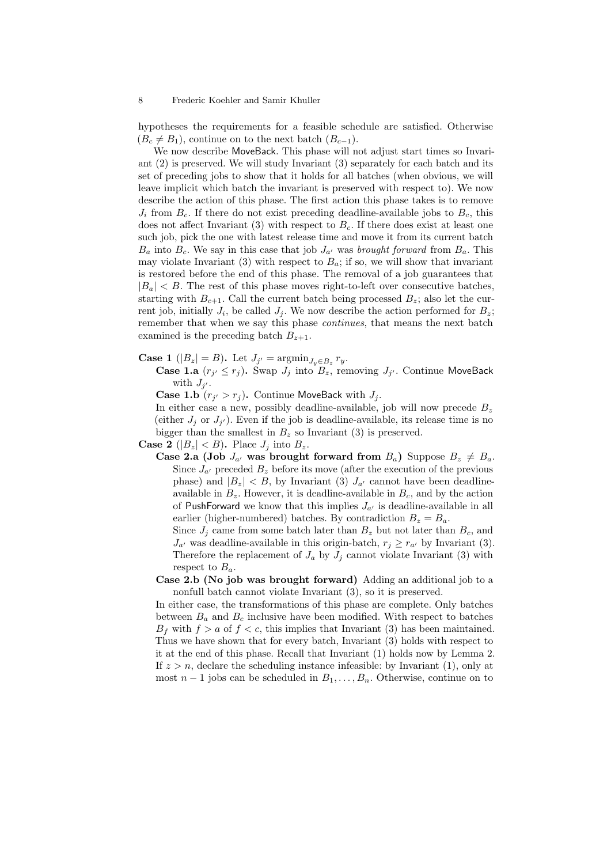hypotheses the requirements for a feasible schedule are satisfied. Otherwise  $(B<sub>c</sub> \neq B<sub>1</sub>)$ , continue on to the next batch  $(B<sub>c-1</sub>)$ .

We now describe MoveBack. This phase will not adjust start times so Invariant (2) is preserved. We will study Invariant (3) separately for each batch and its set of preceding jobs to show that it holds for all batches (when obvious, we will leave implicit which batch the invariant is preserved with respect to). We now describe the action of this phase. The first action this phase takes is to remove  $J_i$  from  $B_c$ . If there do not exist preceding deadline-available jobs to  $B_c$ , this does not affect Invariant  $(3)$  with respect to  $B<sub>c</sub>$ . If there does exist at least one such job, pick the one with latest release time and move it from its current batch  $B_a$  into  $B_c$ . We say in this case that job  $J_{a'}$  was brought forward from  $B_a$ . This may violate Invariant (3) with respect to  $B_a$ ; if so, we will show that invariant is restored before the end of this phase. The removal of a job guarantees that  $|B_a| < B$ . The rest of this phase moves right-to-left over consecutive batches, starting with  $B_{c+1}$ . Call the current batch being processed  $B_z$ ; also let the current job, initially  $J_i$ , be called  $J_j$ . We now describe the action performed for  $B_z$ ; remember that when we say this phase *continues*, that means the next batch examined is the preceding batch  $B_{z+1}$ .

**Case 1** ( $|B_z| = B$ ). Let  $J_{j'} = \operatorname{argmin}_{J_y \in B_z} r_y$ .

**Case 1.a**  $(r_{j'} \leq r_j)$ . Swap  $J_j$  into  $B_z$ , removing  $J_{j'}$ . Continue MoveBack with  $J_{j'}$ .

**Case 1.b**  $(r_{j'} > r_j)$ . Continue MoveBack with  $J_j$ .

In either case a new, possibly deadline-available, job will now precede  $B_z$ (either  $J_j$  or  $J_{j'}$ ). Even if the job is deadline-available, its release time is no bigger than the smallest in  $B_z$  so Invariant (3) is preserved.

**Case 2** ( $|B_z| < B$ ). Place  $J_i$  into  $B_z$ .

Case 2.a (Job  $J_{a'}$  was brought forward from  $B_a$ ) Suppose  $B_z \neq B_a$ . Since  $J_{a'}$  preceded  $B_z$  before its move (after the execution of the previous phase) and  $|B_z| < B$ , by Invariant (3)  $J_{a'}$  cannot have been deadlineavailable in  $B_z$ . However, it is deadline-available in  $B_c$ , and by the action of PushForward we know that this implies  $J_{a'}$  is deadline-available in all earlier (higher-numbered) batches. By contradiction  $B_z = B_a$ .

Since  $J_j$  came from some batch later than  $B_z$  but not later than  $B_c$ , and  $J_{a'}$  was deadline-available in this origin-batch,  $r_j \geq r_{a'}$  by Invariant (3). Therefore the replacement of  $J_a$  by  $J_i$  cannot violate Invariant (3) with respect to  $B_a$ .

Case 2.b (No job was brought forward) Adding an additional job to a nonfull batch cannot violate Invariant (3), so it is preserved.

In either case, the transformations of this phase are complete. Only batches between  $B_a$  and  $B_c$  inclusive have been modified. With respect to batches  $B_f$  with  $f > a$  of  $f < c$ , this implies that Invariant (3) has been maintained. Thus we have shown that for every batch, Invariant (3) holds with respect to it at the end of this phase. Recall that Invariant (1) holds now by Lemma 2. If  $z > n$ , declare the scheduling instance infeasible: by Invariant (1), only at most  $n-1$  jobs can be scheduled in  $B_1, \ldots, B_n$ . Otherwise, continue on to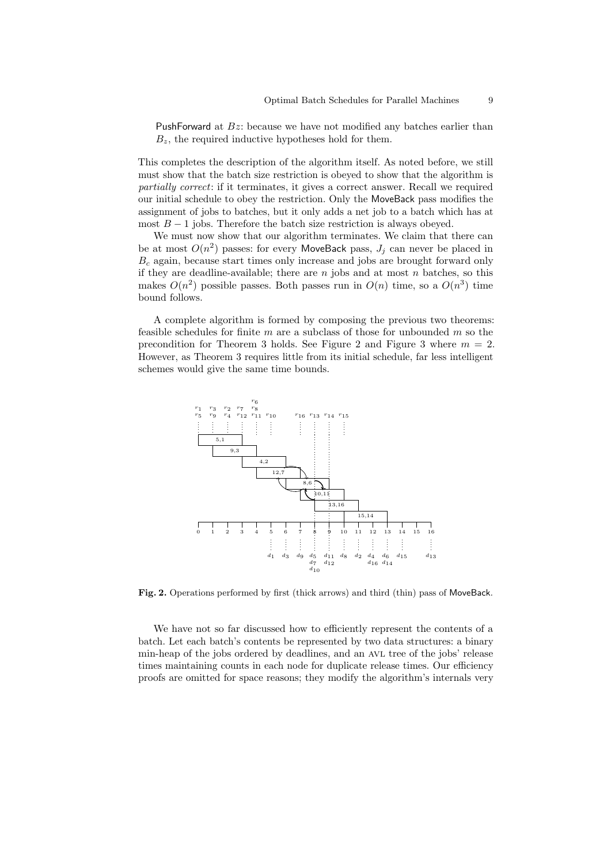PushForward at  $Bz$ : because we have not modified any batches earlier than  $B_z$ , the required inductive hypotheses hold for them.

This completes the description of the algorithm itself. As noted before, we still must show that the batch size restriction is obeyed to show that the algorithm is partially correct: if it terminates, it gives a correct answer. Recall we required our initial schedule to obey the restriction. Only the MoveBack pass modifies the assignment of jobs to batches, but it only adds a net job to a batch which has at most  $B-1$  jobs. Therefore the batch size restriction is always obeyed.

We must now show that our algorithm terminates. We claim that there can be at most  $O(n^2)$  passes: for every MoveBack pass,  $J_j$  can never be placed in  $B<sub>c</sub>$  again, because start times only increase and jobs are brought forward only if they are deadline-available; there are  $n$  jobs and at most  $n$  batches, so this makes  $O(n^2)$  possible passes. Both passes run in  $O(n)$  time, so a  $O(n^3)$  time bound follows.

A complete algorithm is formed by composing the previous two theorems: feasible schedules for finite  $m$  are a subclass of those for unbounded  $m$  so the precondition for Theorem 3 holds. See Figure 2 and Figure 3 where  $m = 2$ . However, as Theorem 3 requires little from its initial schedule, far less intelligent schemes would give the same time bounds.



Fig. 2. Operations performed by first (thick arrows) and third (thin) pass of MoveBack.

We have not so far discussed how to efficiently represent the contents of a batch. Let each batch's contents be represented by two data structures: a binary min-heap of the jobs ordered by deadlines, and an AVL tree of the jobs' release times maintaining counts in each node for duplicate release times. Our efficiency proofs are omitted for space reasons; they modify the algorithm's internals very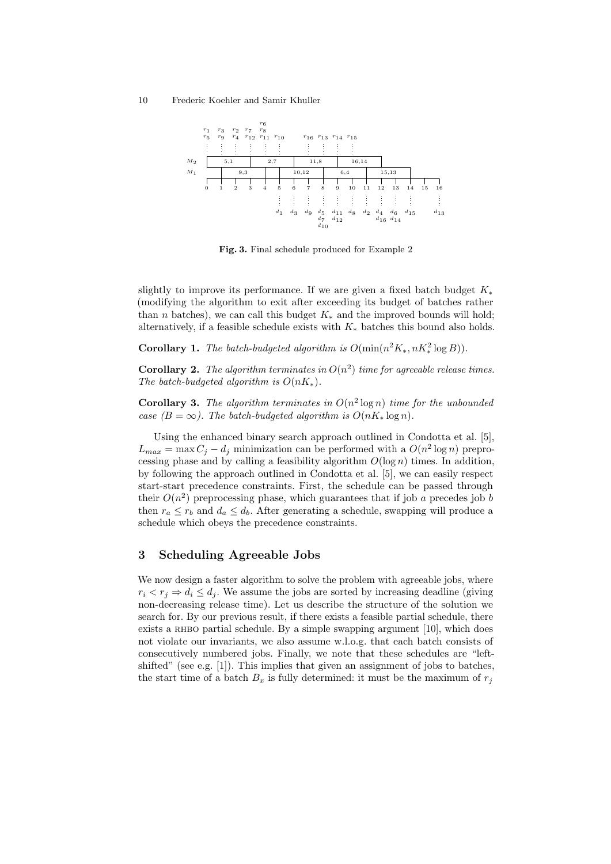

Fig. 3. Final schedule produced for Example 2

slightly to improve its performance. If we are given a fixed batch budget  $K_*$ (modifying the algorithm to exit after exceeding its budget of batches rather than *n* batches), we can call this budget  $K_*$  and the improved bounds will hold; alternatively, if a feasible schedule exists with  $K_*$  batches this bound also holds.

**Corollary 1.** The batch-budgeted algorithm is  $O(\min(n^2 K_*, nK_*^2 \log B)).$ 

**Corollary 2.** The algorithm terminates in  $O(n^2)$  time for agreeable release times. The batch-budgeted algorithm is  $O(nK_*)$ .

**Corollary 3.** The algorithm terminates in  $O(n^2 \log n)$  time for the unbounded case  $(B = \infty)$ . The batch-budgeted algorithm is  $O(nK_* \log n)$ .

Using the enhanced binary search approach outlined in Condotta et al. [5],  $L_{max} = \max C_j - d_j$  minimization can be performed with a  $O(n^2 \log n)$  preprocessing phase and by calling a feasibility algorithm  $O(\log n)$  times. In addition, by following the approach outlined in Condotta et al. [5], we can easily respect start-start precedence constraints. First, the schedule can be passed through their  $O(n^2)$  preprocessing phase, which guarantees that if job a precedes job b then  $r_a \leq r_b$  and  $d_a \leq d_b$ . After generating a schedule, swapping will produce a schedule which obeys the precedence constraints.

# 3 Scheduling Agreeable Jobs

We now design a faster algorithm to solve the problem with agreeable jobs, where  $r_i \leq r_j \Rightarrow d_i \leq d_j$ . We assume the jobs are sorted by increasing deadline (giving non-decreasing release time). Let us describe the structure of the solution we search for. By our previous result, if there exists a feasible partial schedule, there exists a RHBO partial schedule. By a simple swapping argument  $[10]$ , which does not violate our invariants, we also assume w.l.o.g. that each batch consists of consecutively numbered jobs. Finally, we note that these schedules are "leftshifted" (see e.g. [1]). This implies that given an assignment of jobs to batches, the start time of a batch  $B_x$  is fully determined: it must be the maximum of  $r_j$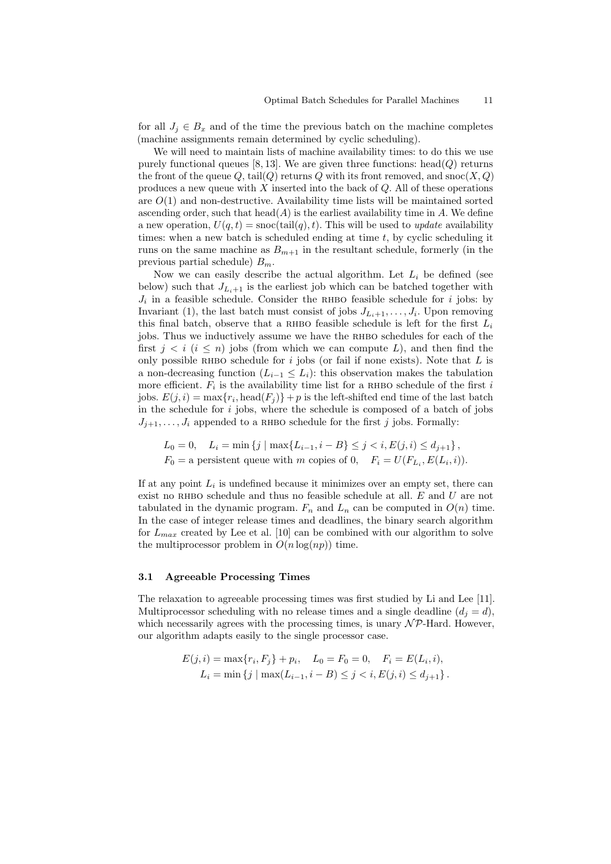for all  $J_j \in B_x$  and of the time the previous batch on the machine completes (machine assignments remain determined by cyclic scheduling).

We will need to maintain lists of machine availability times: to do this we use purely functional queues [8, 13]. We are given three functions: head( $Q$ ) returns the front of the queue Q, tail $(Q)$  returns Q with its front removed, and snoc $(X, Q)$ produces a new queue with  $X$  inserted into the back of  $Q$ . All of these operations are  $O(1)$  and non-destructive. Availability time lists will be maintained sorted ascending order, such that head( $A$ ) is the earliest availability time in A. We define a new operation,  $U(q, t) = \text{snoc}(\text{tail}(q), t)$ . This will be used to *update* availability times: when a new batch is scheduled ending at time  $t$ , by cyclic scheduling it runs on the same machine as  $B_{m+1}$  in the resultant schedule, formerly (in the previous partial schedule)  $B_m$ .

Now we can easily describe the actual algorithm. Let  $L_i$  be defined (see below) such that  $J_{L_1+1}$  is the earliest job which can be batched together with  $J_i$  in a feasible schedule. Consider the RHBO feasible schedule for i jobs: by Invariant (1), the last batch must consist of jobs  $J_{L_i+1}, \ldots, J_i$ . Upon removing this final batch, observe that a RHBO feasible schedule is left for the first  $L_i$ jobs. Thus we inductively assume we have the RHBO schedules for each of the first  $j < i$  ( $i \le n$ ) jobs (from which we can compute L), and then find the only possible RHBO schedule for  $i$  jobs (or fail if none exists). Note that  $L$  is a non-decreasing function  $(L_{i-1} \leq L_i)$ : this observation makes the tabulation more efficient.  $\overline{F}_i$  is the availability time list for a RHBO schedule of the first i jobs.  $E(j, i) = \max\{r_i, \text{head}(F_j)\} + p$  is the left-shifted end time of the last batch in the schedule for  $i$  jobs, where the schedule is composed of a batch of jobs  $J_{i+1}, \ldots, J_i$  appended to a RHBO schedule for the first j jobs. Formally:

$$
L_0 = 0, \quad L_i = \min\left\{j \mid \max\{L_{i-1}, i - B\} \le j < i, E(j, i) \le d_{j+1}\right\},
$$
\n
$$
F_0 = \text{a persistent queue with } m \text{ copies of } 0, \quad F_i = U(F_{L_i}, E(L_i, i)).
$$

If at any point  $L_i$  is undefined because it minimizes over an empty set, there can exist no RHBO schedule and thus no feasible schedule at all.  $E$  and  $U$  are not tabulated in the dynamic program.  $F_n$  and  $L_n$  can be computed in  $O(n)$  time. In the case of integer release times and deadlines, the binary search algorithm for  $L_{max}$  created by Lee et al. [10] can be combined with our algorithm to solve the multiprocessor problem in  $O(n \log(np))$  time.

#### 3.1 Agreeable Processing Times

The relaxation to agreeable processing times was first studied by Li and Lee [11]. Multiprocessor scheduling with no release times and a single deadline  $(d_i = d)$ , which necessarily agrees with the processing times, is unary  $\mathcal{NP}$ -Hard. However, our algorithm adapts easily to the single processor case.

$$
E(j, i) = \max\{r_i, F_j\} + p_i, \quad L_0 = F_0 = 0, \quad F_i = E(L_i, i),
$$
  

$$
L_i = \min\{j \mid \max(L_{i-1}, i - B) \le j < i, E(j, i) \le d_{j+1}\}.
$$